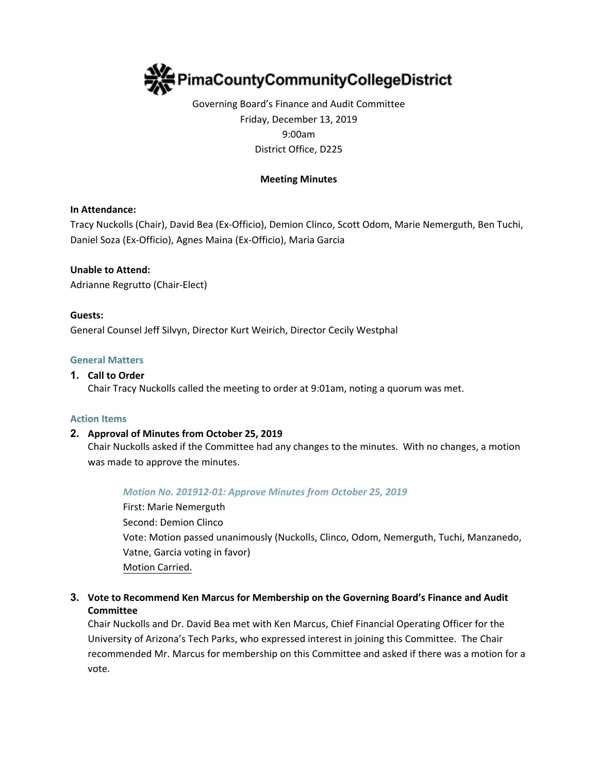

Governing Board's Finance and Audit Committee Friday, December 13, 2019 9:00am District Office, D225

### **Meeting Minutes**

### **In Attendance:**

Tracy Nuckolls (Chair), David Bea (Ex-Officio), Demion Clinco, Scott Odom, Marie Nemerguth, Ben Tuchi, Daniel Soza (Ex-Officio), Agnes Maina (Ex-Officio), Maria Garcia

**Unable to Attend:** Adrianne Regrutto (Chair-Elect)

#### **Guests:**

General Counsel Jeff Silvyn, Director Kurt Weirich, Director Cecily Westphal

#### **General Matters**

#### **1. Call to Order**

Chair Tracy Nuckolls called the meeting to order at 9:01am, noting a quorum was met.

#### **Action Items**

### **2. Approval of Minutes from October 25, 2019**

Chair Nuckolls asked if the Committee had any changes to the minutes. With no changes, a motion was made to approve the minutes.

#### *Motion No. 201912-01: Approve Minutes from October 25, 2019*

First: Marie Nemerguth Second: Demion Clinco Vote: Motion passed unanimously (Nuckolls, Clinco, Odom, Nemerguth, Tuchi, Manzanedo, Vatne, Garcia voting in favor) Motion Carried.

# **3. Vote to Recommend Ken Marcus for Membership on the Governing Board's Finance and Audit Committee**

Chair Nuckolls and Dr. David Bea met with Ken Marcus, Chief Financial Operating Officer for the University of Arizona's Tech Parks, who expressed interest in joining this Committee. The Chair recommended Mr. Marcus for membership on this Committee and asked if there was a motion for a vote.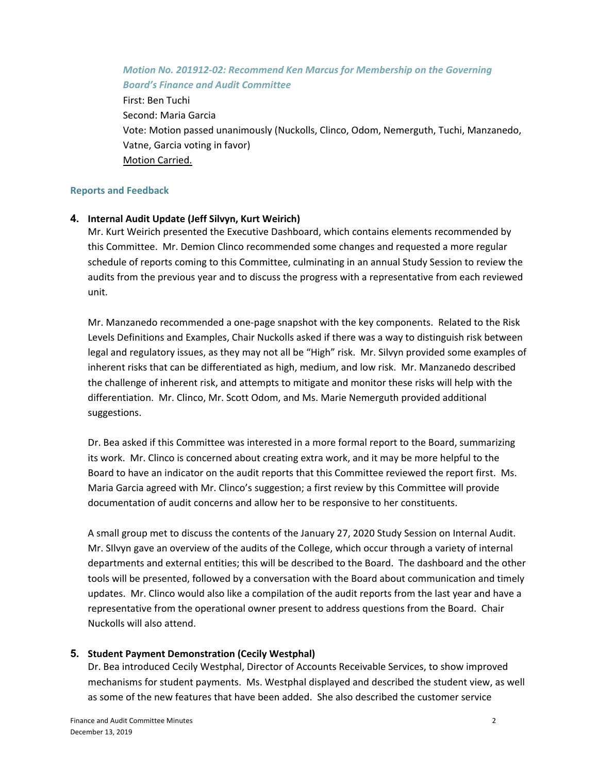### *Motion No. 201912-02: Recommend Ken Marcus for Membership on the Governing Board's Finance and Audit Committee*

First: Ben Tuchi Second: Maria Garcia Vote: Motion passed unanimously (Nuckolls, Clinco, Odom, Nemerguth, Tuchi, Manzanedo, Vatne, Garcia voting in favor) Motion Carried.

### **Reports and Feedback**

## **4. Internal Audit Update (Jeff Silvyn, Kurt Weirich)**

Mr. Kurt Weirich presented the Executive Dashboard, which contains elements recommended by this Committee. Mr. Demion Clinco recommended some changes and requested a more regular schedule of reports coming to this Committee, culminating in an annual Study Session to review the audits from the previous year and to discuss the progress with a representative from each reviewed unit.

Mr. Manzanedo recommended a one-page snapshot with the key components. Related to the Risk Levels Definitions and Examples, Chair Nuckolls asked if there was a way to distinguish risk between legal and regulatory issues, as they may not all be "High" risk. Mr. Silvyn provided some examples of inherent risks that can be differentiated as high, medium, and low risk. Mr. Manzanedo described the challenge of inherent risk, and attempts to mitigate and monitor these risks will help with the differentiation. Mr. Clinco, Mr. Scott Odom, and Ms. Marie Nemerguth provided additional suggestions.

Dr. Bea asked if this Committee was interested in a more formal report to the Board, summarizing its work. Mr. Clinco is concerned about creating extra work, and it may be more helpful to the Board to have an indicator on the audit reports that this Committee reviewed the report first. Ms. Maria Garcia agreed with Mr. Clinco's suggestion; a first review by this Committee will provide documentation of audit concerns and allow her to be responsive to her constituents.

A small group met to discuss the contents of the January 27, 2020 Study Session on Internal Audit. Mr. SIlvyn gave an overview of the audits of the College, which occur through a variety of internal departments and external entities; this will be described to the Board. The dashboard and the other tools will be presented, followed by a conversation with the Board about communication and timely updates. Mr. Clinco would also like a compilation of the audit reports from the last year and have a representative from the operational owner present to address questions from the Board. Chair Nuckolls will also attend.

### **5. Student Payment Demonstration (Cecily Westphal)**

Dr. Bea introduced Cecily Westphal, Director of Accounts Receivable Services, to show improved mechanisms for student payments. Ms. Westphal displayed and described the student view, as well as some of the new features that have been added. She also described the customer service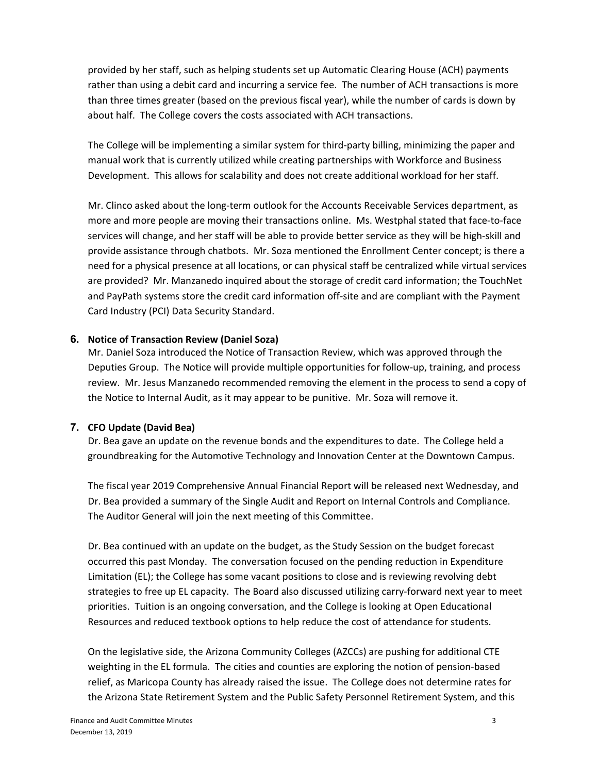provided by her staff, such as helping students set up Automatic Clearing House (ACH) payments rather than using a debit card and incurring a service fee. The number of ACH transactions is more than three times greater (based on the previous fiscal year), while the number of cards is down by about half. The College covers the costs associated with ACH transactions.

The College will be implementing a similar system for third-party billing, minimizing the paper and manual work that is currently utilized while creating partnerships with Workforce and Business Development. This allows for scalability and does not create additional workload for her staff.

Mr. Clinco asked about the long-term outlook for the Accounts Receivable Services department, as more and more people are moving their transactions online. Ms. Westphal stated that face-to-face services will change, and her staff will be able to provide better service as they will be high-skill and provide assistance through chatbots. Mr. Soza mentioned the Enrollment Center concept; is there a need for a physical presence at all locations, or can physical staff be centralized while virtual services are provided? Mr. Manzanedo inquired about the storage of credit card information; the TouchNet and PayPath systems store the credit card information off-site and are compliant with the Payment Card Industry (PCI) Data Security Standard.

# **6. Notice of Transaction Review (Daniel Soza)**

Mr. Daniel Soza introduced the Notice of Transaction Review, which was approved through the Deputies Group. The Notice will provide multiple opportunities for follow-up, training, and process review. Mr. Jesus Manzanedo recommended removing the element in the process to send a copy of the Notice to Internal Audit, as it may appear to be punitive. Mr. Soza will remove it.

# **7. CFO Update (David Bea)**

Dr. Bea gave an update on the revenue bonds and the expenditures to date. The College held a groundbreaking for the Automotive Technology and Innovation Center at the Downtown Campus.

The fiscal year 2019 Comprehensive Annual Financial Report will be released next Wednesday, and Dr. Bea provided a summary of the Single Audit and Report on Internal Controls and Compliance. The Auditor General will join the next meeting of this Committee.

Dr. Bea continued with an update on the budget, as the Study Session on the budget forecast occurred this past Monday. The conversation focused on the pending reduction in Expenditure Limitation (EL); the College has some vacant positions to close and is reviewing revolving debt strategies to free up EL capacity. The Board also discussed utilizing carry-forward next year to meet priorities. Tuition is an ongoing conversation, and the College is looking at Open Educational Resources and reduced textbook options to help reduce the cost of attendance for students.

On the legislative side, the Arizona Community Colleges (AZCCs) are pushing for additional CTE weighting in the EL formula. The cities and counties are exploring the notion of pension-based relief, as Maricopa County has already raised the issue. The College does not determine rates for the Arizona State Retirement System and the Public Safety Personnel Retirement System, and this